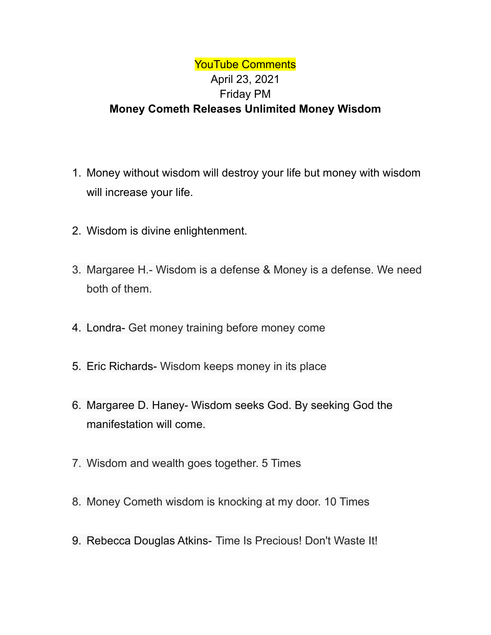## YouTube Comments April 23, 2021 Friday PM **Money Cometh Releases Unlimited Money Wisdom**

- 1. Money without wisdom will destroy your life but money with wisdom will increase your life.
- 2. Wisdom is divine enlightenment.
- 3. Margaree H.- Wisdom is a defense & Money is a defense. We need both of them.
- 4. Londra- Get money training before money come
- 5. Eric Richards- Wisdom keeps money in its place
- 6. Margaree D. Haney- Wisdom seeks God. By seeking God the manifestation will come.
- 7. Wisdom and wealth goes together. 5 Times
- 8. Money Cometh wisdom is knocking at my door. 10 Times
- 9. Rebecca Douglas Atkins- Time Is Precious! Don't Waste It!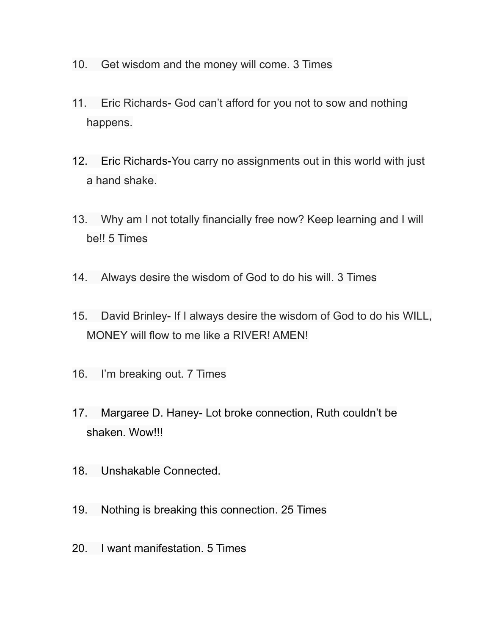- 10. Get wisdom and the money will come. 3 Times
- 11. Eric Richards- God can't afford for you not to sow and nothing happens.
- 12. Eric Richards-You carry no assignments out in this world with just a hand shake.
- 13. Why am I not totally financially free now? Keep learning and I will be!! 5 Times
- 14. Always desire the wisdom of God to do his will. 3 Times
- 15. David Brinley- If I always desire the wisdom of God to do his WILL, MONEY will flow to me like a RIVER! AMEN!
- 16. I'm breaking out. 7 Times
- 17. Margaree D. Haney- Lot broke connection, Ruth couldn't be shaken. Wow!!!
- 18. Unshakable Connected.
- 19. Nothing is breaking this connection. 25 Times
- 20. I want manifestation. 5 Times